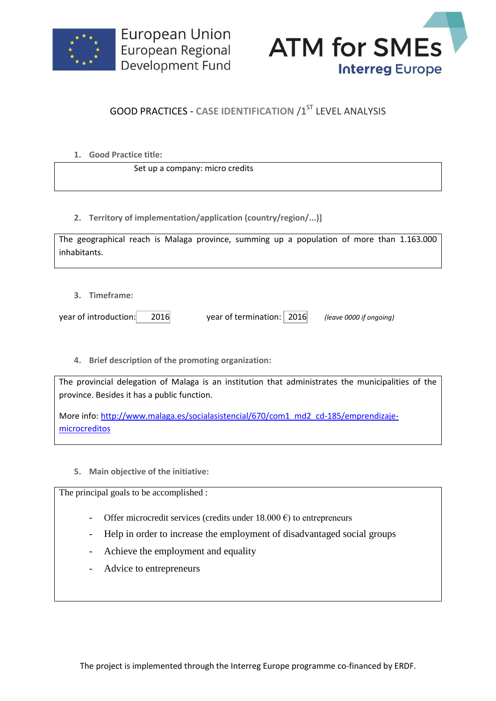



## **GOOD PRACTICES - CASE IDENTIFICATION /1ST LEVEL ANALYSIS**

**1. Good Practice title:**

Set up a company: micro credits

**2. Territory of implementation/application (country/region/...)]**

| The geographical reach is Malaga province, summing up a population of more than 1.163.000 |  |  |  |  |  |  |
|-------------------------------------------------------------------------------------------|--|--|--|--|--|--|
| inhabitants.                                                                              |  |  |  |  |  |  |

**3. Timeframe:**

year of introduction: 2016 year of termination: 2016 *(leave 0000 if ongoing)*

**4. Brief description of the promoting organization:**

The provincial delegation of Malaga is an institution that administrates the municipalities of the province. Besides it has a public function.

More info: [http://www.malaga.es/socialasistencial/670/com1\\_md2\\_cd-185/emprendizaje](http://www.malaga.es/socialasistencial/670/com1_md2_cd-185/emprendizaje-microcreditos)[microcreditos](http://www.malaga.es/socialasistencial/670/com1_md2_cd-185/emprendizaje-microcreditos)

**5. Main objective of the initiative:**

The principal goals to be accomplished :

- Offer microcredit services (credits under  $18.000 \text{ } \epsilon$ ) to entrepreneurs
- Help in order to increase the employment of disadvantaged social groups
- Achieve the employment and equality
- Advice to entrepreneurs